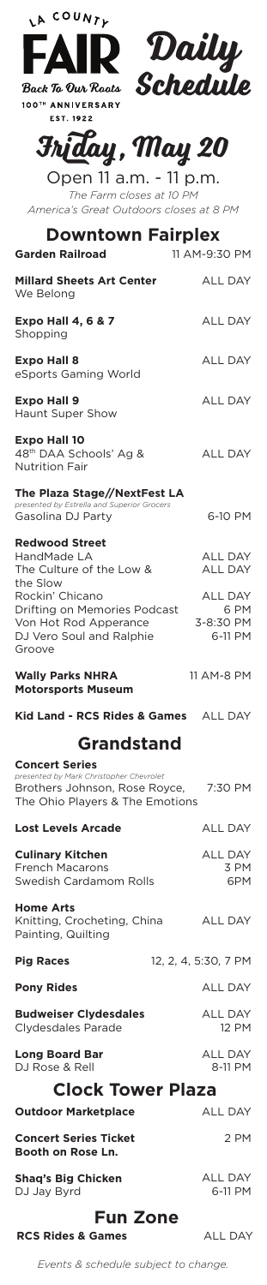| COUNTY<br>LA             |  |
|--------------------------|--|
|                          |  |
| <b>Back To Our Roots</b> |  |
| 100TH ANNIVERSARY        |  |

EST. 1922



## **Friday, May 20**

Open 11 a.m. - 11 p.m. *The Farm closes at 10 PM America's Great Outdoors closes at 8 PM*

| <b>Downtown Fairplex</b><br><b>Garden Railroad</b>                                                                                   | 11 AM-9:30 PM                                  |
|--------------------------------------------------------------------------------------------------------------------------------------|------------------------------------------------|
| <b>Millard Sheets Art Center</b><br>We Belong                                                                                        | <b>ALL DAY</b>                                 |
| <b>Expo Hall 4, 6 &amp; 7</b><br>Shopping                                                                                            | <b>ALL DAY</b>                                 |
| <b>Expo Hall 8</b><br>eSports Gaming World                                                                                           | <b>ALL DAY</b>                                 |
| <b>Expo Hall 9</b><br>Haunt Super Show                                                                                               | <b>ALL DAY</b>                                 |
| <b>Expo Hall 10</b><br>48th DAA Schools' Ag &<br><b>Nutrition Fair</b>                                                               | <b>ALL DAY</b>                                 |
| The Plaza Stage//NextFest LA<br>presented by Estrella and Superior Grocers<br>Gasolina DJ Party                                      | 6-10 PM                                        |
| <b>Redwood Street</b><br>HandMade LA<br>The Culture of the Low &                                                                     | <b>ALL DAY</b><br><b>ALL DAY</b>               |
| the Slow<br>Rockin' Chicano<br>Drifting on Memories Podcast<br>Von Hot Rod Apperance<br>DJ Vero Soul and Ralphie<br>Groove           | <b>ALL DAY</b><br>6 PM<br>3-8:30 PM<br>6-11 PM |
| <b>Wally Parks NHRA</b><br><b>Motorsports Museum</b>                                                                                 | 11 AM-8 PM                                     |
| Kid Land - RCS Rides & Games ALL DAY                                                                                                 |                                                |
|                                                                                                                                      |                                                |
| <b>Grandstand</b>                                                                                                                    |                                                |
| <b>Concert Series</b><br>presented by Mark Christopher Chevrolet<br>Brothers Johnson, Rose Royce,<br>The Ohio Players & The Emotions | 7:30 PM                                        |
| <b>Lost Levels Arcade</b>                                                                                                            | <b>ALL DAY</b>                                 |
| <b>Culinary Kitchen</b><br><b>French Macarons</b><br>Swedish Cardamom Rolls                                                          | ALL DAY<br>3 PM<br>6PM                         |
| <b>Home Arts</b><br>Knitting, Crocheting, China<br>Painting, Quilting                                                                | ALL DAY                                        |
| <b>Pig Races</b>                                                                                                                     | 12, 2, 4, 5:30, 7 PM                           |
|                                                                                                                                      | <b>ALL DAY</b>                                 |
| <b>Pony Rides</b><br><b>Budweiser Clydesdales</b><br>Clydesdales Parade                                                              | <b>ALL DAY</b><br><b>12 PM</b>                 |
| <b>Long Board Bar</b><br>DJ Rose & Rell                                                                                              | <b>ALL DAY</b><br>8-11 PM                      |
| <b>Clock Tower Plaza</b>                                                                                                             |                                                |
| <b>Outdoor Marketplace</b>                                                                                                           | <b>ALL DAY</b>                                 |
| <b>Concert Series Ticket</b><br>Booth on Rose Ln.                                                                                    | 2 PM                                           |

## **Fun Zone**

**RCS Rides & Games** ALL DAY

*Events & schedule subject to change.*